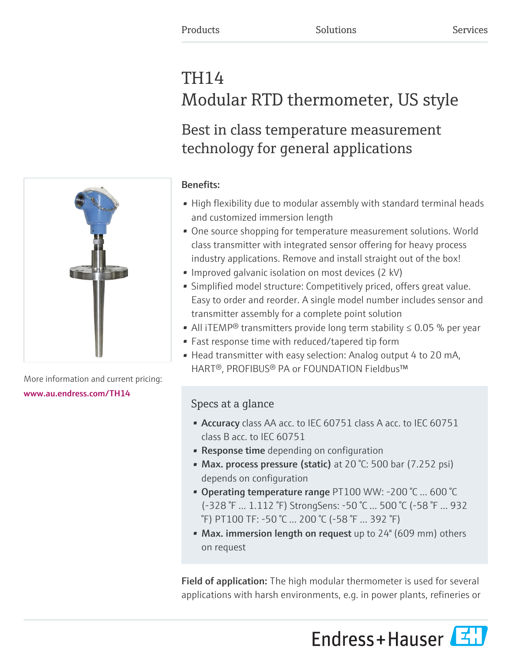# TH14 Modular RTD thermometer, US style

# Best in class temperature measurement technology for general applications

### Benefits:

- High flexibility due to modular assembly with standard terminal heads and customized immersion length
- One source shopping for temperature measurement solutions. World class transmitter with integrated sensor offering for heavy process industry applications. Remove and install straight out of the box!
- Improved galvanic isolation on most devices (2 kV)
- Simplified model structure: Competitively priced, offers great value. Easy to order and reorder. A single model number includes sensor and transmitter assembly for a complete point solution
- All iTEMP<sup>®</sup> transmitters provide long term stability  $\leq 0.05$  % per year
- Fast response time with reduced/tapered tip form
- Head transmitter with easy selection: Analog output 4 to 20 mA, HART®, PROFIBUS® PA or FOUNDATION Fieldbus™

## Specs at a glance

- Accuracy class AA acc. to IEC 60751 class A acc. to IEC 60751 class B acc. to IEC 60751
- Response time depending on configuration
- Max. process pressure (static) at 20 °C: 500 bar (7.252 psi) depends on configuration
- Operating temperature range PT100 WW: -200 °C … 600 °C (-328 °F … 1.112 °F) StrongSens: -50 °C … 500 °C (-58 °F … 932 °F) PT100 TF: -50 °C … 200 °C (-58 °F … 392 °F)
- Max. immersion length on request up to 24" (609 mm) others on request

Field of application: The high modular thermometer is used for several applications with harsh environments, e.g. in power plants, refineries or





More information and current pricing: [www.au.endress.com/TH14](https://www.au.endress.com/TH14)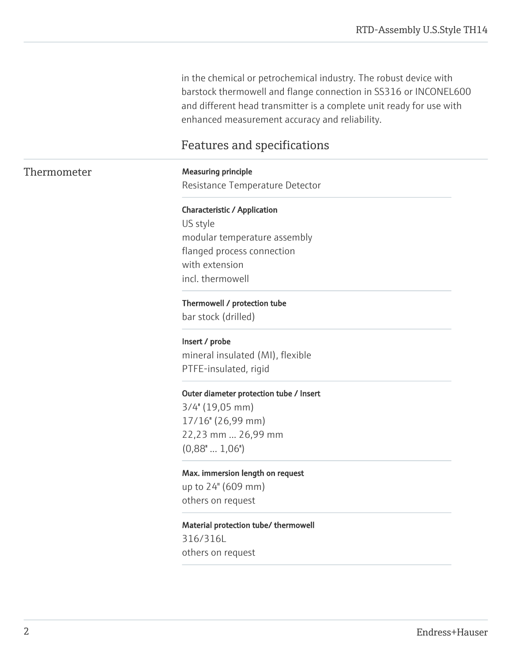in the chemical or petrochemical industry. The robust device with barstock thermowell and flange connection in SS316 or INCONEL600 and different head transmitter is a complete unit ready for use with enhanced measurement accuracy and reliability.

## Features and specifications

Thermometer Measuring principle Resistance Temperature Detector

> Characteristic / Application US style modular temperature assembly flanged process connection with extension incl. thermowell

#### Thermowell / protection tube

bar stock (drilled)

Insert / probe

mineral insulated (MI), flexible PTFE-insulated, rigid

#### Outer diameter protection tube / Insert

3/4'' (19,05 mm) 17/16'' (26,99 mm) 22,23 mm ... 26,99 mm  $(0,88" \dots 1,06")$ 

Max. immersion length on request

up to 24" (609 mm) others on request

Material protection tube/ thermowell 316/316L

others on request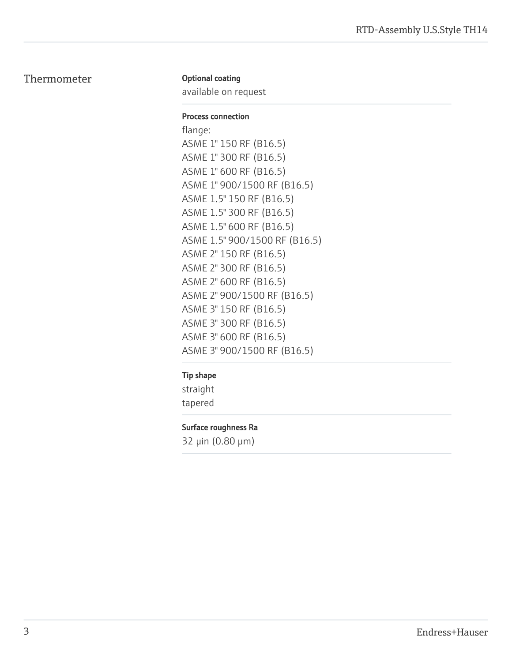#### Thermometer

#### Optional coating

available on request

#### Process connection

flange: ASME 1" 150 RF (B16.5) ASME 1" 300 RF (B16.5) ASME 1" 600 RF (B16.5) ASME 1" 900/1500 RF (B16.5) ASME 1.5" 150 RF (B16.5) ASME 1.5" 300 RF (B16.5) ASME 1.5" 600 RF (B16.5) ASME 1.5" 900/1500 RF (B16.5) ASME 2" 150 RF (B16.5) ASME 2" 300 RF (B16.5) ASME 2" 600 RF (B16.5) ASME 2" 900/1500 RF (B16.5) ASME 3" 150 RF (B16.5) ASME 3" 300 RF (B16.5) ASME 3" 600 RF (B16.5) ASME 3" 900/1500 RF (B16.5)

#### Tip shape

straight tapered

#### Surface roughness Ra

32 μin (0.80 μm)